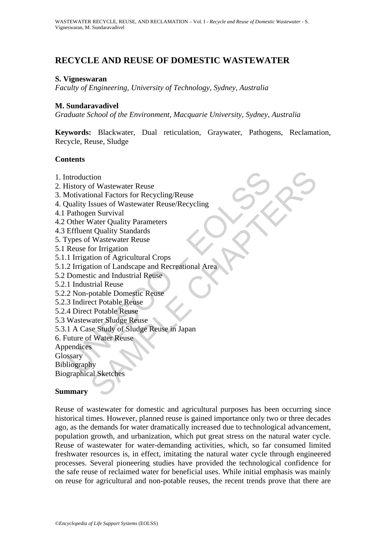# **RECYCLE AND REUSE OF DOMESTIC WASTEWATER**

#### **S. Vigneswaran**

*Faculty of Engineering, University of Technology, Sydney, Australia* 

#### **M. Sundaravadivel**

*Graduate School of the Environment, Macquarie University, Sydney, Australia* 

**Keywords:** Blackwater, Dual reticulation, Graywater, Pathogens, Reclamation, Recycle, Reuse, Sludge

#### **Contents**

- 1. Introduction
- 2. History of Wastewater Reuse
- 3. Motivational Factors for Recycling/Reuse
- 4. Quality Issues of Wastewater Reuse/Recycling
- 4.1 Pathogen Survival
- 4.2 Other Water Quality Parameters
- 4.3 Effluent Quality Standards
- 5. Types of Wastewater Reuse
- 5.1 Reuse for Irrigation
- 5.1.1 Irrigation of Agricultural Crops
- ntroduction<br>
distory of Wastewater Reuse<br>
dotivational Factors for Recycling/Reuse<br>
unality Issues of Wastewater Reuse/Recycling<br>
Pathogen Survival<br>
Other Water Quality Parameters<br>
Effluent Quality Standards<br>
Surgiation of tion<br>
of Wastewater Reuse<br>
conal Factors for Recycling/Reuse<br>
slssues of Wastewater Reuse/Recycling<br>
en Survival<br>
Water Quality Standards<br>
Vaktewater Reuse<br>
Cor Irrigation<br>
Con Landscape and Recreational Area<br>
Wastewater R 5.1.2 Irrigation of Landscape and Recreational Area
- 5.2 Domestic and Industrial Reuse
- 5.2.1 Industrial Reuse
- 5.2.2 Non-potable Domestic Reuse
- 5.2.3 Indirect Potable Reuse
- 5.2.4 Direct Potable Reuse
- 5.3 Wastewater Sludge Reuse
- 5.3.1 A Case Study of Sludge Reuse in Japan
- 6. Future of Water Reuse

Appendices

Glossary

Bibliography

Biographical Sketches

#### **Summary**

Reuse of wastewater for domestic and agricultural purposes has been occurring since historical times. However, planned reuse is gained importance only two or three decades ago, as the demands for water dramatically increased due to technological advancement, population growth, and urbanization, which put great stress on the natural water cycle. Reuse of wastewater for water-demanding activities, which, so far consumed limited freshwater resources is, in effect, imitating the natural water cycle through engineered processes. Several pioneering studies have provided the technological confidence for the safe reuse of reclaimed water for beneficial uses. While initial emphasis was mainly on reuse for agricultural and non-potable reuses, the recent trends prove that there are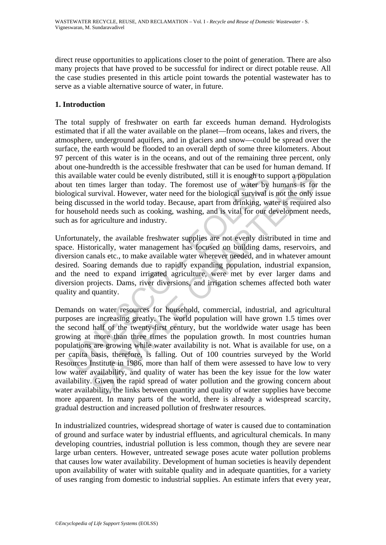direct reuse opportunities to applications closer to the point of generation. There are also many projects that have proved to be successful for indirect or direct potable reuse. All the case studies presented in this article point towards the potential wastewater has to serve as a viable alternative source of water, in future.

## **1. Introduction**

The total supply of freshwater on earth far exceeds human demand. Hydrologists estimated that if all the water available on the planet—from oceans, lakes and rivers, the atmosphere, underground aquifers, and in glaciers and snow—could be spread over the surface, the earth would be flooded to an overall depth of some three kilometers. About 97 percent of this water is in the oceans, and out of the remaining three percent, only about one-hundredth is the accessible freshwater that can be used for human demand. If this available water could be evenly distributed, still it is enough to support a population about ten times larger than today. The foremost use of water by humans is for the biological survival. However, water need for the biological survival is not the only issue being discussed in the world today. Because, apart from drinking, water is required also for household needs such as cooking, washing, and is vital for our development needs, such as for agriculture and industry.

Unfortunately, the available freshwater supplies are not evenly distributed in time and space. Historically, water management has focused on building dams, reservoirs, and diversion canals etc., to make available water wherever needed, and in whatever amount desired. Soaring demands due to rapidly expanding population, industrial expansion, and the need to expand irrigated agriculture, were met by ever larger dams and diversion projects. Dams, river diversions, and irrigation schemes affected both water quality and quantity.

available water could be evenly distributed, still it is enough to stut ten times larger than today. The foremost use of water by ogical survival. However, water need for the biological survival is g discussed in the world ble water could be evenly distributed, still it is enough to support a populatimes larger than today. The foremost use of water by humans is for survival. However, water read for the biological survival is not the orly is Demands on water resources for household, commercial, industrial, and agricultural purposes are increasing greatly. The world population will have grown 1.5 times over the second half of the twenty-first century, but the worldwide water usage has been growing at more than three times the population growth. In most countries human populations are growing while water availability is not. What is available for use, on a per capita basis, therefore, is falling. Out of 100 countries surveyed by the World Resources Institute in 1986, more than half of them were assessed to have low to very low water availability, and quality of water has been the key issue for the low water availability. Given the rapid spread of water pollution and the growing concern about water availability, the links between quantity and quality of water supplies have become more apparent. In many parts of the world, there is already a widespread scarcity, gradual destruction and increased pollution of freshwater resources.

In industrialized countries, widespread shortage of water is caused due to contamination of ground and surface water by industrial effluents, and agricultural chemicals. In many developing countries, industrial pollution is less common, though they are severe near large urban centers. However, untreated sewage poses acute water pollution problems that causes low water availability. Development of human societies is heavily dependent upon availability of water with suitable quality and in adequate quantities, for a variety of uses ranging from domestic to industrial supplies. An estimate infers that every year,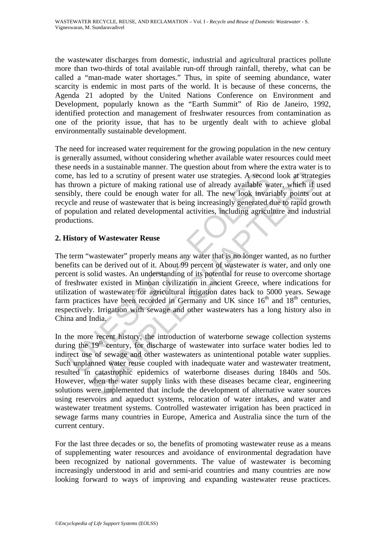the wastewater discharges from domestic, industrial and agricultural practices pollute more than two-thirds of total available run-off through rainfall, thereby, what can be called a "man-made water shortages." Thus, in spite of seeming abundance, water scarcity is endemic in most parts of the world. It is because of these concerns, the Agenda 21 adopted by the United Nations Conference on Environment and Development, popularly known as the "Earth Summit" of Rio de Janeiro, 1992, identified protection and management of freshwater resources from contamination as one of the priority issue, that has to be urgently dealt with to achieve global environmentally sustainable development.

The need for increased water requirement for the growing population in the new century is generally assumed, without considering whether available water resources could meet these needs in a sustainable manner. The question about from where the extra water is to come, has led to a scrutiny of present water use strategies. A second look at strategies has thrown a picture of making rational use of already available water, which if used sensibly, there could be enough water for all. The new look invariably points out at recycle and reuse of wastewater that is being increasingly generated due to rapid growth of population and related developmental activities, including agriculture and industrial productions.

## **2. History of Wastewater Reuse**

ie, has led to a scrutiny of present water use strategies. A second<br>thrown a picture of making rational use of already available way<br>bibly, there could be enough water for all. The new look invariable<br>cloudion and related led to a scrutiny of present water use strategies. A second look at strate<br>a picture of making rational use of already available water, which if the<br>are could be enough water for all. The new look hwariably points out<br>are The term "wastewater" properly means any water that is no longer wanted, as no further benefits can be derived out of it. About 99 percent of wastewater *is* water, and only one percent is solid wastes. An understanding of its potential for reuse to overcome shortage of freshwater existed in Minoan civilization in ancient Greece, where indications for utilization of wastewater for agricultural irrigation dates back to 5000 years. Sewage farm practices have been recorded in Germany and UK since  $16<sup>th</sup>$  and  $18<sup>th</sup>$  centuries, respectively. Irrigation with sewage and other wastewaters has a long history also in China and India.

In the more recent history, the introduction of waterborne sewage collection systems during the 19<sup>th</sup> century, for discharge of wastewater into surface water bodies led to indirect use of sewage and other wastewaters as unintentional potable water supplies. Such unplanned water reuse coupled with inadequate water and wastewater treatment, resulted in catastrophic epidemics of waterborne diseases during 1840s and 50s. However, when the water supply links with these diseases became clear, engineering solutions were implemented that include the development of alternative water sources using reservoirs and aqueduct systems, relocation of water intakes, and water and wastewater treatment systems. Controlled wastewater irrigation has been practiced in sewage farms many countries in Europe, America and Australia since the turn of the current century.

For the last three decades or so, the benefits of promoting wastewater reuse as a means of supplementing water resources and avoidance of environmental degradation have been recognized by national governments. The value of wastewater is becoming increasingly understood in arid and semi-arid countries and many countries are now looking forward to ways of improving and expanding wastewater reuse practices.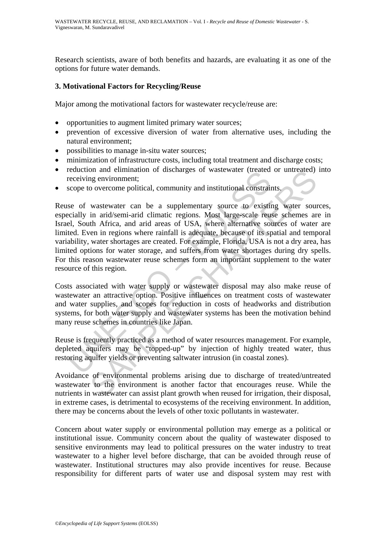Research scientists, aware of both benefits and hazards, are evaluating it as one of the options for future water demands.

## **3. Motivational Factors for Recycling/Reuse**

Major among the motivational factors for wastewater recycle/reuse are:

- opportunities to augment limited primary water sources;
- prevention of excessive diversion of water from alternative uses, including the natural environment;
- possibilities to manage in-situ water sources;
- minimization of infrastructure costs, including total treatment and discharge costs;
- reduction and elimination of discharges of wastewater (treated or untreated) into receiving environment;
- scope to overcome political, community and institutional constraints.

reaction and eminimator or disclaring evidence (treated receiving environment;<br>scope to overcome political, community and institutional constrain<br>see of wastewater can be a supplementary source to existin<br>cially in arid/se on an elimination of unscription of usercular times<br>of environment;<br>no overcome political, community and institutional constraints,<br>wastewater can be a supplementary source to existing water source<br>in arid/semi-arid climat Reuse of wastewater can be a supplementary source to existing water sources, especially in arid/semi-arid climatic regions. Most large-scale reuse schemes are in Israel, South Africa, and arid areas of USA, where alternative sources of water are limited. Even in regions where rainfall is adequate, because of its spatial and temporal variability, water shortages are created. For example, Florida, USA is not a dry area, has limited options for water storage, and suffers from water shortages during dry spells. For this reason wastewater reuse schemes form an important supplement to the water resource of this region.

Costs associated with water supply or wastewater disposal may also make reuse of wastewater an attractive option. Positive influences on treatment costs of wastewater and water supplies, and scopes for reduction in costs of headworks and distribution systems, for both water supply and wastewater systems has been the motivation behind many reuse schemes in countries like Japan.

Reuse is frequently practiced as a method of water resources management. For example, depleted aquifers may be "topped-up" by injection of highly treated water, thus restoring aquifer yields or preventing saltwater intrusion (in coastal zones).

Avoidance of environmental problems arising due to discharge of treated/untreated wastewater to the environment is another factor that encourages reuse. While the nutrients in wastewater can assist plant growth when reused for irrigation, their disposal, in extreme cases, is detrimental to ecosystems of the receiving environment. In addition, there may be concerns about the levels of other toxic pollutants in wastewater.

Concern about water supply or environmental pollution may emerge as a political or institutional issue. Community concern about the quality of wastewater disposed to sensitive environments may lead to political pressures on the water industry to treat wastewater to a higher level before discharge, that can be avoided through reuse of wastewater. Institutional structures may also provide incentives for reuse. Because responsibility for different parts of water use and disposal system may rest with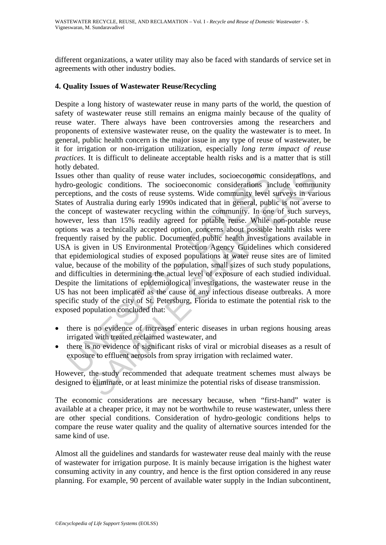different organizations, a water utility may also be faced with standards of service set in agreements with other industry bodies.

## **4. Quality Issues of Wastewater Reuse/Recycling**

Despite a long history of wastewater reuse in many parts of the world, the question of safety of wastewater reuse still remains an enigma mainly because of the quality of reuse water. There always have been controversies among the researchers and proponents of extensive wastewater reuse, on the quality the wastewater is to meet. In general, public health concern is the major issue in any type of reuse of wastewater, be it for irrigation or non-irrigation utilization, especially *long term impact of reuse practices*. It is difficult to delineate acceptable health risks and is a matter that is still hotly debated.

is other than quality of reuse water includes, socioeconomic co-geologic conditions. The socioeconomic considerations in eptions, and the costs of reuse systems. Wide community level es of Australia during early 1990s indi The many quality of reuse water includes, socioeconomic considerations, ogic conditions. The socioeconomic considerations include community and the costs of reuse systems. Wide community level surveys in variatizalia durin Issues other than quality of reuse water includes, socioeconomic considerations, and hydro-geologic conditions. The socioeconomic considerations include community perceptions, and the costs of reuse systems. Wide community level surveys in various States of Australia during early 1990s indicated that in general, public is not averse to the concept of wastewater recycling within the community. In one of such surveys, however, less than 15% readily agreed for potable reuse. While non-potable reuse options was a technically accepted option, concerns about possible health risks were frequently raised by the public. Documented public health investigations available in USA is given in US Environmental Protection Agency Guidelines which considered that epidemiological studies of exposed populations at water reuse sites are of limited value, because of the mobility of the population, small sizes of such study populations, and difficulties in determining the actual level of exposure of each studied individual. Despite the limitations of epidemiological investigations, the wastewater reuse in the US has not been implicated as the cause of any infectious disease outbreaks. A more specific study of the city of St. Petersburg, Florida to estimate the potential risk to the exposed population concluded that:

- there is no evidence of increased enteric diseases in urban regions housing areas irrigated with treated reclaimed wastewater, and
- there is no evidence of significant risks of viral or microbial diseases as a result of exposure to effluent aerosols from spray irrigation with reclaimed water.

However, the study recommended that adequate treatment schemes must always be designed to eliminate, or at least minimize the potential risks of disease transmission.

The economic considerations are necessary because, when "first-hand" water is available at a cheaper price, it may not be worthwhile to reuse wastewater, unless there are other special conditions. Consideration of hydro-geologic conditions helps to compare the reuse water quality and the quality of alternative sources intended for the same kind of use.

Almost all the guidelines and standards for wastewater reuse deal mainly with the reuse of wastewater for irrigation purpose. It is mainly because irrigation is the highest water consuming activity in any country, and hence is the first option considered in any reuse planning. For example, 90 percent of available water supply in the Indian subcontinent,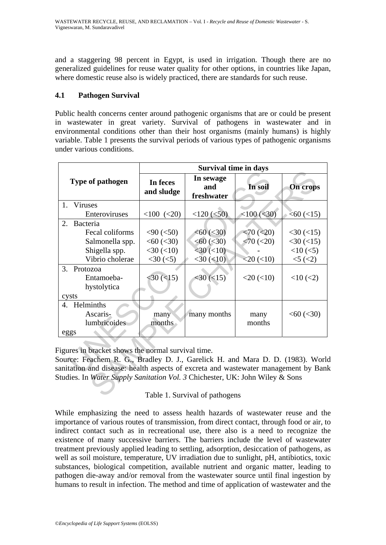and a staggering 98 percent in Egypt, is used in irrigation. Though there are no generalized guidelines for reuse water quality for other options, in countries like Japan, where domestic reuse also is widely practiced, there are standards for such reuse.

## **4.1 Pathogen Survival**

Public health concerns center around pathogenic organisms that are or could be present in wastewater in great variety. Survival of pathogens in wastewater and in environmental conditions other than their host organisms (mainly humans) is highly variable. Table 1 presents the survival periods of various types of pathogenic organisms under various conditions.

|                                                                                                                                                                                                                                                                                                            |                        | <b>Survival time in days</b>   |                   |                  |  |  |  |
|------------------------------------------------------------------------------------------------------------------------------------------------------------------------------------------------------------------------------------------------------------------------------------------------------------|------------------------|--------------------------------|-------------------|------------------|--|--|--|
| Type of pathogen                                                                                                                                                                                                                                                                                           | In feces<br>and sludge | In sewage<br>and<br>freshwater | In soil           | <b>On crops</b>  |  |  |  |
| 1. Viruses                                                                                                                                                                                                                                                                                                 |                        |                                |                   |                  |  |  |  |
| Enteroviruses                                                                                                                                                                                                                                                                                              | $<100$ $(<20)$         | $<$ 120 $(<$ 50)               | $<$ 100 $(<$ 30)  | $<60$ ( $<15$ )  |  |  |  |
| 2.<br>Bacteria                                                                                                                                                                                                                                                                                             |                        |                                |                   |                  |  |  |  |
| Fecal coliforms                                                                                                                                                                                                                                                                                            | $<$ 90 ( $<$ 50)       | < 60 (< 30)                    | $< 70$ ( $< 20$ ) | $<$ 30 ( $<$ 15) |  |  |  |
| Salmonella spp.                                                                                                                                                                                                                                                                                            | < 60 (< 30)            | < 60 (< 30)                    | $< 70$ ( $< 20$ ) | $<$ 30 $(<$ 15)  |  |  |  |
| Shigella spp.                                                                                                                                                                                                                                                                                              | $<$ 30 $(<$ 10)        | $<$ 30 $(<$ 10)                |                   | $<10$ ( $<$ 5)   |  |  |  |
| Vibrio cholerae                                                                                                                                                                                                                                                                                            | $<$ 30 ( $<$ 5)        | $<$ 30 $(<$ 10)                | $<$ 20 $(<$ 10)   | $5 \,(2)$        |  |  |  |
| 3.<br>Protozoa                                                                                                                                                                                                                                                                                             |                        |                                |                   |                  |  |  |  |
| Entamoeba-                                                                                                                                                                                                                                                                                                 | $<$ 30 $(<$ 15)        | $<$ 30 ( $<$ 15)               | $<20$ $(<10)$     | $<10$ ( $<2$ )   |  |  |  |
| hystolytica                                                                                                                                                                                                                                                                                                |                        |                                |                   |                  |  |  |  |
| cysts                                                                                                                                                                                                                                                                                                      |                        |                                |                   |                  |  |  |  |
| 4. Helminths                                                                                                                                                                                                                                                                                               |                        |                                |                   |                  |  |  |  |
| Ascaris-                                                                                                                                                                                                                                                                                                   | many                   | many months                    | many              | < 60 (< 30)      |  |  |  |
| lumbricoides                                                                                                                                                                                                                                                                                               | months                 |                                | months            |                  |  |  |  |
| eggs                                                                                                                                                                                                                                                                                                       |                        |                                |                   |                  |  |  |  |
| Figures in bracket shows the normal survival time.<br>Source: Feachem R. G., Bradley D. J., Garelick H. and Mara D. D. (1983). World<br>anitation and disease: health aspects of excreta and wastewater management by Banl<br>Studies. In Water Supply Sanitation Vol. 3 Chichester, UK: John Wiley & Sons |                        |                                |                   |                  |  |  |  |
| Table 1. Survival of pathogens                                                                                                                                                                                                                                                                             |                        |                                |                   |                  |  |  |  |

# Table 1. Survival of pathogens

While emphasizing the need to assess health hazards of wastewater reuse and the importance of various routes of transmission, from direct contact, through food or air, to indirect contact such as in recreational use, there also is a need to recognize the existence of many successive barriers. The barriers include the level of wastewater treatment previously applied leading to settling, adsorption, desiccation of pathogens, as well as soil moisture, temperature, UV irradiation due to sunlight, pH, antibiotics, toxic substances, biological competition, available nutrient and organic matter, leading to pathogen die-away and/or removal from the wastewater source until final ingestion by humans to result in infection. The method and time of application of wastewater and the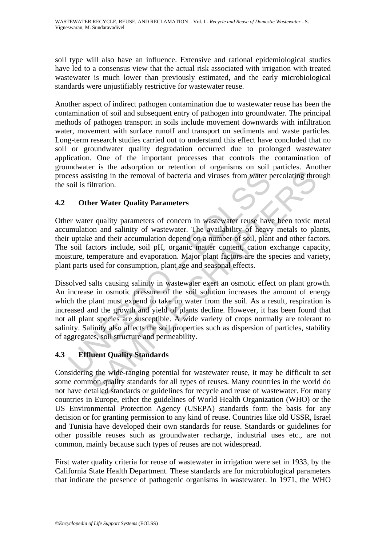soil type will also have an influence. Extensive and rational epidemiological studies have led to a consensus view that the actual risk associated with irrigation with treated wastewater is much lower than previously estimated, and the early microbiological standards were unjustifiably restrictive for wastewater reuse.

Another aspect of indirect pathogen contamination due to wastewater reuse has been the contamination of soil and subsequent entry of pathogen into groundwater. The principal methods of pathogen transport in soils include movement downwards with infiltration water, movement with surface runoff and transport on sediments and waste particles. Long-term research studies carried out to understand this effect have concluded that no soil or groundwater quality degradation occurred due to prolonged wastewater application. One of the important processes that controls the contamination of groundwater is the adsorption or retention of organisms on soil particles. Another process assisting in the removal of bacteria and viruses from water percolating through the soil is filtration.

# **4.2 Other Water Quality Parameters**

Other water quality parameters of concern in wastewater reuse have been toxic metal accumulation and salinity of wastewater. The availability of heavy metals to plants, their uptake and their accumulation depend on a number of soil, plant and other factors. The soil factors include, soil pH, organic matter content, cation exchange capacity, moisture, temperature and evaporation. Major plant factors are the species and variety, plant parts used for consumption, plant age and seasonal effects.

ress assisting in the removal of bacteria and viruses from water provided is filtration.<br> **Other Water Quality Parameters**<br>
Er water quality parameters of concern in wastewater reuse have<br>
umulation and salinity of wastewa isting in the removal of bacteria and viruses from water percolating three is sisting in the removal of bacteria and viruses from water percolating three illuration.<br>
Ner Water Quality Parameters<br>
or an and staining of was Dissolved salts causing salinity in wastewater exert an osmotic effect on plant growth. An increase in osmotic pressure of the soil solution increases the amount of energy which the plant must expend to take up water from the soil. As a result, respiration is increased and the growth and yield of plants decline. However, it has been found that not all plant species are susceptible. A wide variety of crops normally are tolerant to salinity. Salinity also affects the soil properties such as dispersion of particles, stability of aggregates, soil structure and permeability.

# **4.3 Effluent Quality Standards**

Considering the wide-ranging potential for wastewater reuse, it may be difficult to set some common quality standards for all types of reuses. Many countries in the world do not have detailed standards or guidelines for recycle and reuse of wastewater. For many countries in Europe, either the guidelines of World Health Organization (WHO) or the US Environmental Protection Agency (USEPA) standards form the basis for any decision or for granting permission to any kind of reuse. Countries like old USSR, Israel and Tunisia have developed their own standards for reuse. Standards or guidelines for other possible reuses such as groundwater recharge, industrial uses etc., are not common, mainly because such types of reuses are not widespread.

First water quality criteria for reuse of wastewater in irrigation were set in 1933, by the California State Health Department. These standards are for microbiological parameters that indicate the presence of pathogenic organisms in wastewater. In 1971, the WHO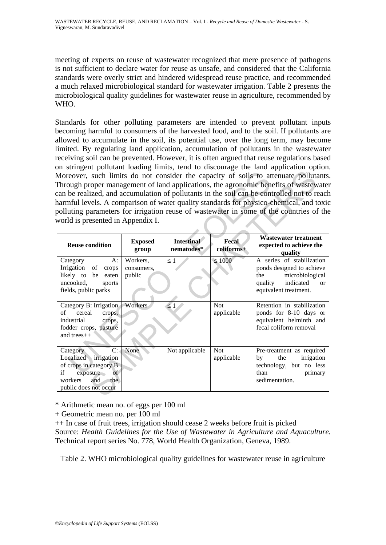meeting of experts on reuse of wastewater recognized that mere presence of pathogens is not sufficient to declare water for reuse as unsafe, and considered that the California standards were overly strict and hindered widespread reuse practice, and recommended a much relaxed microbiological standard for wastewater irrigation. Table 2 presents the microbiological quality guidelines for wastewater reuse in agriculture, recommended by WHO.

Standards for other polluting parameters are intended to prevent pollutant inputs becoming harmful to consumers of the harvested food, and to the soil. If pollutants are allowed to accumulate in the soil, its potential use, over the long term, may become limited. By regulating land application, accumulation of pollutants in the wastewater receiving soil can be prevented. However, it is often argued that reuse regulations based on stringent pollutant loading limits, tend to discourage the land application option. Moreover, such limits do not consider the capacity of soils to attenuate pollutants. Through proper management of land applications, the agronomic benefits of wastewater can be realized, and accumulation of pollutants in the soil can be controlled not to reach harmful levels. A comparison of water quality standards for physico-chemical, and toxic polluting parameters for irrigation reuse of wastewater in some of the countries of the world is presented in Appendix I.

| Moreover, such limits do not consider the capacity of soils to attenuate pollutants<br>Through proper management of land applications, the agronomic benefits of wastewate<br>can be realized, and accumulation of pollutants in the soil can be controlled not to reach<br>narmful levels. A comparison of water quality standards for physico-chemical, and toxic<br>polluting parameters for irrigation reuse of wastewater in some of the countries of the<br>world is presented in Appendix I. |                                  |                                 |                          |                                                                                                                                             |  |  |
|-----------------------------------------------------------------------------------------------------------------------------------------------------------------------------------------------------------------------------------------------------------------------------------------------------------------------------------------------------------------------------------------------------------------------------------------------------------------------------------------------------|----------------------------------|---------------------------------|--------------------------|---------------------------------------------------------------------------------------------------------------------------------------------|--|--|
| <b>Reuse condition</b>                                                                                                                                                                                                                                                                                                                                                                                                                                                                              | <b>Exposed</b><br>group          | <b>Intestinal</b><br>nematodes* | Fecal<br>coliforms+      | <b>Wastewater treatment</b><br>expected to achieve the<br>quality                                                                           |  |  |
| A:<br>Category<br>Irrigation of<br>crops<br>likely to be eaten<br>uncooked,<br>sports<br>fields, public parks                                                                                                                                                                                                                                                                                                                                                                                       | Workers,<br>consumers,<br>public | $\leq$ 1                        | $\leq 1000$              | A series of stabilization<br>ponds designed to achieve<br>the<br>microbiological<br>quality indicated<br><b>or</b><br>equivalent treatment. |  |  |
| Category B: Irrigation<br>cereal<br>of<br>crops,<br>industrial<br>crops,<br>fodder crops, pasture<br>and trees++                                                                                                                                                                                                                                                                                                                                                                                    | Workers                          | $\leq 1$                        | <b>Not</b><br>applicable | Retention in stabilization<br>ponds for 8-10 days or<br>equivalent helminth and<br>fecal coliform removal                                   |  |  |
| C:<br>Category<br>Localized irrigation<br>of crops in category B<br>exposure<br>if<br>of<br>and<br>workers<br>the<br>public does not occur                                                                                                                                                                                                                                                                                                                                                          | None                             | Not applicable                  | <b>Not</b><br>applicable | Pre-treatment as required<br>the<br>irrigation<br>by<br>technology, but no less<br>than<br>primary<br>sedimentation.                        |  |  |

\* Arithmetic mean no. of eggs per 100 ml

+ Geometric mean no. per 100 ml

++ In case of fruit trees, irrigation should cease 2 weeks before fruit is picked Source: *Health Guidelines for the Use of Wastewater in Agriculture and Aquaculture.* Technical report series No. 778, World Health Organization, Geneva, 1989.

Table 2. WHO microbiological quality guidelines for wastewater reuse in agriculture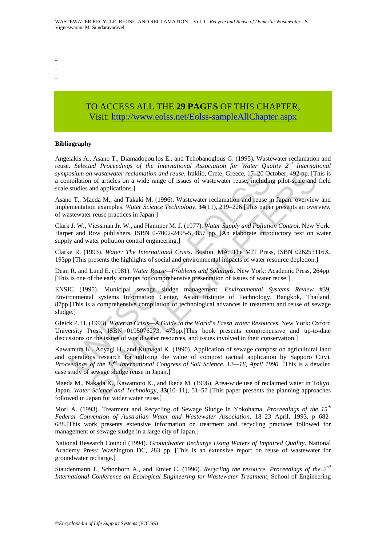- -
- -
- -

# TO ACCESS ALL THE **29 PAGES** OF THIS CHAPTER, Visi[t: http://www.eolss.net/Eolss-sampleAllChapter.aspx](https://www.eolss.net/ebooklib/sc_cart.aspx?File=E2-14-01-00)

#### **Bibliography**

Angelakis A., Asano T., Diamadopou.los E., and Tchobanoglous G. (1995). Wastewater reclamation and reuse. *Selected Proceedings of the International Association for Water Quality 2nd International symposium on wastewater reclamation and reuse,* Iraklio, Crete, Greece, 17–20 October, 492 pp. [This is a compilation of articles on a wide range of issues of wastewater reuse, including pilot-scale and field scale studies and applications.]

Asano T., Maeda M., and Takaki M. (1996). Wastewater reclamation and reuse in Japan: overview and implementation examples. *Water Science Technology,* **34**(11), 219–226 [This paper presents an overview of wastewater reuse practices in Japan.]

Clark J. W., Viessman Jr. W., and Hammer M. J. (1977). *Water Supply and Pollution Control*. New York: Harper and Row publishers. ISBN 0-7002-2495-5, 857 pp. [An elaborate introductory text on water supply and water pollution control engineering.]

Clarke R. (1993). *Water: The International Crisis*. Boston, MA: The MIT Press, ISBN 026253116X, 193pp.[This presents the highlights of social and environmental impacts of water resource depletion.]

Dean R. and Lund E. (1981). *Water Reuse—Problems and Solutions*. New York: Academic Press, 264pp. [This is one of the early attempts for comprehensive presentation of issues of water reuse.]

oosium on wastewater reclamation and reuse, Iraklio, Crete, Greece, 17–20 Oompillation of articles on a wide range of issues of wastewater reuse, includin<br>sulties and applications.]<br>to T., Maeda M., and Takaki M. (1996). W *n* wastewater reclamation and reuse, Iraklio, Crete, Greece, 17–20 October, 492 pp. [There are are directes on a wide range of issues of wastewater reuse, including pilot-scale and and arplications.]<br>and applications.]<br>a ENSIC (1995). Municipal sewage sludge management. *Environmental Systems Review* #39, Environmental systems Information Center, Asian Institute of Technology, Bangkok, Thailand, 87pp.[This is a comprehensive compilation of technological advances in treatment and reuse of sewage sludge.]

Gleick P. H. (1993). *Water in Crisis—A Guide to the World*'*s Fresh Water Resources*. New York: Oxford University Press, ISBN 0195076273, 473pp.[This book presents comprehensive and up-to-date discussions on the issues of world water resources, and issues involved in their conservation.]

Kawamura K., Aoyagi H., and Kumagai K. (1990). Application of sewage compost on agricultural land and operations research for utilizing the value of compost (actual application by Sapporo City)*. Proceedings of the 14th International Congress of Soil Science, 12—18, April 1990.* [This is a detailed case study of sewage sludge reuse in Japan.]

Maeda M., Nakada K., Kawamoto K., and Ikeda M. (1996). Area-wide use of reclaimed water in Tokyo, Japan. *Water Science and Technology,* **33**(10–11), 51–57 [This paper presents the planning approaches followed in Japan for wider water reuse.]

Mori A. (1993). Treatment and Recycling of Sewage Sludge in Yokohama, *Proceedings of the 15th Federal Convention of Australian Water and Wastewater Association,* 18–23 April, 1993, p 682- 688.[This work presents extensive information on treatment and recycling practices followed for management of sewage sludge in a large city of Japan.]

National Research Council (1994). *Groundwater Recharge Using Waters of Impaired Quality*. National Academy Press: Washington DC, 283 pp. [This is an extensive report on reuse of wastewater for groundwater recharge.]

Staudenmann J., Schonborn A., and Etnier C. (1996). *Recycling the resource*. *Proceedings of the 2nd International Conference on Ecological Engineering for Wastewater Treatment,* School of Engineering